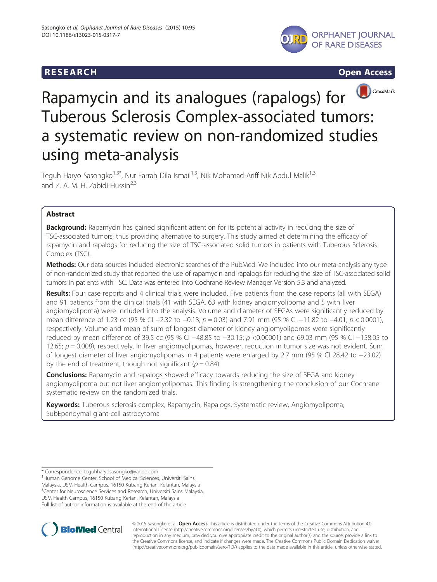# **RESEARCH CHILD CONTROL** CONTROL CONTROL CONTROL CONTROL CONTROL CONTROL CONTROL CONTROL CONTROL CONTROL CONTROL CONTROL CONTROL CONTROL CONTROL CONTROL CONTROL CONTROL CONTROL CONTROL CONTROL CONTROL CONTROL CONTROL CONTR







# Rapamycin and its analogues (rapalogs) for Tuberous Sclerosis Complex-associated tumors: a systematic review on non-randomized studies using meta-analysis

Teguh Haryo Sasongko<sup>1,3\*</sup>, Nur Farrah Dila Ismail<sup>1,3</sup>, Nik Mohamad Ariff Nik Abdul Malik<sup>1,3</sup> and Z. A. M. H. Zabidi-Hussin<sup>2,3</sup>

# Abstract

Background: Rapamycin has gained significant attention for its potential activity in reducing the size of TSC-associated tumors, thus providing alternative to surgery. This study aimed at determining the efficacy of rapamycin and rapalogs for reducing the size of TSC-associated solid tumors in patients with Tuberous Sclerosis Complex (TSC).

Methods: Our data sources included electronic searches of the PubMed. We included into our meta-analysis any type of non-randomized study that reported the use of rapamycin and rapalogs for reducing the size of TSC-associated solid tumors in patients with TSC. Data was entered into Cochrane Review Manager Version 5.3 and analyzed.

Results: Four case reports and 4 clinical trials were included. Five patients from the case reports (all with SEGA) and 91 patients from the clinical trials (41 with SEGA, 63 with kidney angiomyolipoma and 5 with liver angiomyolipoma) were included into the analysis. Volume and diameter of SEGAs were significantly reduced by mean difference of 1.23 cc (95 % CI −2.32 to −0.13; p = 0.03) and 7.91 mm (95 % CI −11.82 to −4.01; p < 0.0001), respectively. Volume and mean of sum of longest diameter of kidney angiomyolipomas were significantly reduced by mean difference of 39.5 cc (95 % CI −48.85 to −30.15; p <0.00001) and 69.03 mm (95 % CI −158.05 to 12.65;  $p = 0.008$ ), respectively. In liver angiomyolipomas, however, reduction in tumor size was not evident. Sum of longest diameter of liver angiomyolipomas in 4 patients were enlarged by 2.7 mm (95 % CI 28.42 to −23.02) by the end of treatment, though not significant ( $p = 0.84$ ).

**Conclusions:** Rapamycin and rapalogs showed efficacy towards reducing the size of SEGA and kidney angiomyolipoma but not liver angiomyolipomas. This finding is strengthening the conclusion of our Cochrane systematic review on the randomized trials.

Keywords: Tuberous sclerosis complex, Rapamycin, Rapalogs, Systematic review, Angiomyolipoma, SubEpendymal giant-cell astrocytoma

\* Correspondence: [teguhharyosasongko@yahoo.com](mailto:teguhharyosasongko@yahoo.com) <sup>1</sup>

<sup>1</sup> Human Genome Center, School of Medical Sciences, Universiti Sains Malaysia, USM Health Campus, 16150 Kubang Kerian, Kelantan, Malaysia <sup>3</sup> Center for Neuroscience Services and Research, Universiti Sains Malaysia, USM Health Campus, 16150 Kubang Kerian, Kelantan, Malaysia Full list of author information is available at the end of the article



© 2015 Sasongko et al. Open Access This article is distributed under the terms of the Creative Commons Attribution 4.0 International License [\(http://creativecommons.org/licenses/by/4.0\)](http://creativecommons.org/licenses/by/4.0), which permits unrestricted use, distribution, and reproduction in any medium, provided you give appropriate credit to the original author(s) and the source, provide a link to the Creative Commons license, and indicate if changes were made. The Creative Commons Public Domain Dedication waiver [\(http://creativecommons.org/publicdomain/zero/1.0/](http://creativecommons.org/publicdomain/zero/1.0/)) applies to the data made available in this article, unless otherwise stated.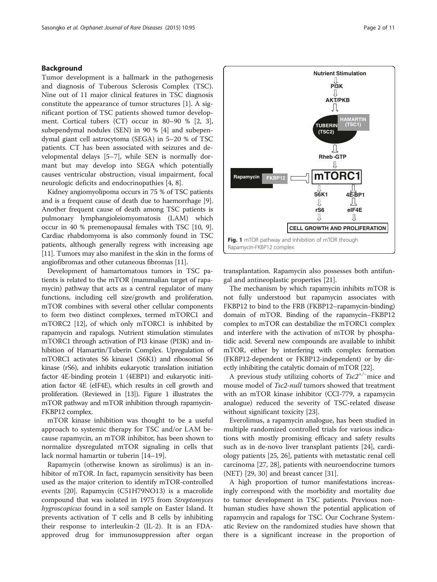# Background

Tumor development is a hallmark in the pathogenesis and diagnosis of Tuberous Sclerosis Complex (TSC). Nine out of 11 major clinical features in TSC diagnosis constitute the appearance of tumor structures [\[1](#page-8-0)]. A significant portion of TSC patients showed tumor development. Cortical tubers (CT) occur in 80–90 % [[2,](#page-8-0) [3](#page-9-0)], subependymal nodules (SEN) in 90 % [\[4](#page-9-0)] and subependymal giant cell astrocytoma (SEGA) in 5–20 % of TSC patients. CT has been associated with seizures and developmental delays [[5](#page-9-0)–[7](#page-9-0)], while SEN is normally dormant but may develop into SEGA which potentially causes ventricular obstruction, visual impairment, focal neurologic deficits and endocrinopathies [\[4, 8\]](#page-9-0).

Kidney angiomyolipoma occurs in 75 % of TSC patients and is a frequent cause of death due to haemorrhage [[9](#page-9-0)]. Another frequent cause of death among TSC patients is pulmonary lymphangioleiomyomatosis (LAM) which occur in 40 % premenopausal females with TSC [[10](#page-9-0), [9](#page-9-0)]. Cardiac rhabdomyoma is also commonly found in TSC patients, although generally regress with increasing age [[11](#page-9-0)]. Tumors may also manifest in the skin in the forms of angiofibromas and other cutaneous fibromas [\[11](#page-9-0)].

Development of hamartomatous tumors in TSC patients is related to the mTOR (mammalian target of rapamycin) pathway that acts as a central regulator of many functions, including cell size/growth and proliferation. mTOR combines with several other cellular components to form two distinct complexes, termed mTORC1 and mTORC2 [[12](#page-9-0)], of which only mTORC1 is inhibited by rapamycin and rapalogs. Nutrient stimulation stimulates mTORC1 through activation of PI3 kinase (PI3K) and inhibition of Hamartin/Tuberin Complex. Upregulation of mTORC1 activates S6 kinase1 (S6K1) and ribosomal S6 kinase (rS6), and inhibits eukaryotic translation initiation factor 4E-binding protein 1 (4EBP1) and eukaryotic initiation factor 4E (eIF4E), which results in cell growth and proliferation. (Reviewed in [\[13\]](#page-9-0)). Figure 1 illustrates the mTOR pathway and mTOR inhibition through rapamycin-FKBP12 complex.

mTOR kinase inhibition was thought to be a useful approach to systemic therapy for TSC and/or LAM because rapamycin, an mTOR inhibitor, has been shown to normalize dysregulated mTOR signaling in cells that lack normal hamartin or tuberin [[14](#page-9-0)–[19](#page-9-0)].

Rapamycin (otherwise known as sirolimus) is an inhibitor of mTOR. In fact, rapamycin sensitivity has been used as the major criterion to identify mTOR-controlled events [\[20](#page-9-0)]. Rapamycin (C51H79NO13) is a macrolide compound that was isolated in 1975 from Streptomyces hygroscopicus found in a soil sample on Easter Island. It prevents activation of T cells and B cells by inhibiting their response to interleukin-2 (IL-2). It is an FDAapproved drug for immunosuppression after organ



transplantation. Rapamycin also possesses both antifungal and antineoplastic properties [\[21\]](#page-9-0).

The mechanism by which rapamycin inhibits mTOR is not fully understood but rapamycin associates with FKBP12 to bind to the FRB (FKBP12–rapamycin-binding) domain of mTOR. Binding of the rapamycin–FKBP12 complex to mTOR can destabilize the mTORC1 complex and interfere with the activation of mTOR by phosphatidic acid. Several new compounds are available to inhibit mTOR, either by interfering with complex formation (FKBP12-dependent or FKBP12-independent) or by directly inhibiting the catalytic domain of mTOR [[22\]](#page-9-0).

A previous study utilizing cohorts of  $Tsc2^{+\prime-}$  mice and<br>ouse model of  $Tsc2$ -*null* tumors showed that treatment mouse model of *Tsc2-null* tumors showed that treatment with an mTOR kinase inhibitor (CCI-779, a rapamycin analogue) reduced the severity of TSC-related disease without significant toxicity [\[23](#page-9-0)].

Everolimus, a rapamycin analogue, has been studied in multiple randomized controlled trials for various indications with mostly promising efficacy and safety results such as in de-novo liver transplant patients [[24](#page-9-0)], cardiology patients [[25, 26\]](#page-9-0), patients with metastatic renal cell carcinoma [\[27](#page-9-0), [28\]](#page-9-0), patients with neuroendocrine tumors (NET) [[29, 30\]](#page-9-0) and breast cancer [\[31\]](#page-9-0).

A high proportion of tumor manifestations increasingly correspond with the morbidity and mortality due to tumor development in TSC patients. Previous nonhuman studies have shown the potential application of rapamycin and rapalogs for TSC. Our Cochrane Systematic Review on the randomized studies have shown that there is a significant increase in the proportion of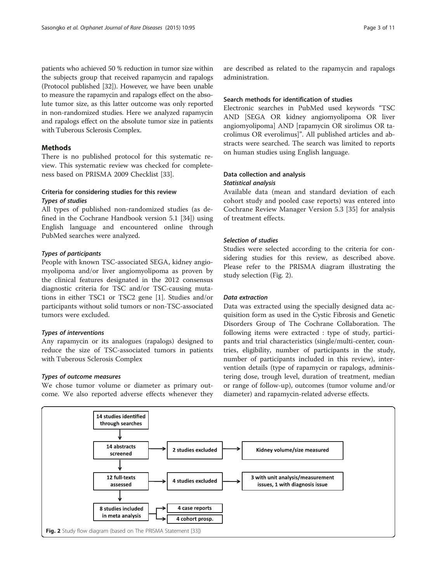<span id="page-2-0"></span>patients who achieved 50 % reduction in tumor size within the subjects group that received rapamycin and rapalogs (Protocol published [[32](#page-9-0)]). However, we have been unable to measure the rapamycin and rapalogs effect on the absolute tumor size, as this latter outcome was only reported in non-randomized studies. Here we analyzed rapamycin and rapalogs effect on the absolute tumor size in patients with Tuberous Sclerosis Complex.

# **Methods**

There is no published protocol for this systematic review. This systematic review was checked for completeness based on PRISMA 2009 Checklist [\[33\]](#page-9-0).

# Criteria for considering studies for this review Types of studies

All types of published non-randomized studies (as defined in the Cochrane Handbook version 5.1 [\[34\]](#page-9-0)) using English language and encountered online through PubMed searches were analyzed.

# Types of participants

People with known TSC-associated SEGA, kidney angiomyolipoma and/or liver angiomyolipoma as proven by the clinical features designated in the 2012 consensus diagnostic criteria for TSC and/or TSC-causing mutations in either TSC1 or TSC2 gene [[1\]](#page-8-0). Studies and/or participants without solid tumors or non-TSC-associated tumors were excluded.

# Types of interventions

Any rapamycin or its analogues (rapalogs) designed to reduce the size of TSC-associated tumors in patients with Tuberous Sclerosis Complex

# Types of outcome measures

We chose tumor volume or diameter as primary outcome. We also reported adverse effects whenever they

# Search methods for identification of studies

Electronic searches in PubMed used keywords "TSC AND [SEGA OR kidney angiomyolipoma OR liver angiomyolipoma] AND [rapamycin OR sirolimus OR tacrolimus OR everolimus]". All published articles and abstracts were searched. The search was limited to reports on human studies using English language.

# Data collection and analysis

# Statistical analysis

Available data (mean and standard deviation of each cohort study and pooled case reports) was entered into Cochrane Review Manager Version 5.3 [[35\]](#page-9-0) for analysis of treatment effects.

# Selection of studies

Studies were selected according to the criteria for considering studies for this review, as described above. Please refer to the PRISMA diagram illustrating the study selection (Fig. 2).

# Data extraction

Data was extracted using the specially designed data acquisition form as used in the Cystic Fibrosis and Genetic Disorders Group of The Cochrane Collaboration. The following items were extracted : type of study, participants and trial characteristics (single/multi-center, countries, eligibility, number of participants in the study, number of participants included in this review), intervention details (type of rapamycin or rapalogs, administering dose, trough level, duration of treatment, median or range of follow-up), outcomes (tumor volume and/or diameter) and rapamycin-related adverse effects.

![](_page_2_Figure_22.jpeg)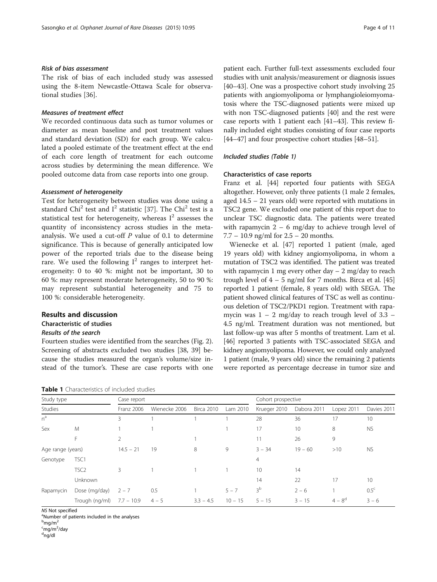# Risk of bias assessment

The risk of bias of each included study was assessed using the 8-item Newcastle-Ottawa Scale for observational studies [\[36\]](#page-9-0).

# Measures of treatment effect

We recorded continuous data such as tumor volumes or diameter as mean baseline and post treatment values and standard deviation (SD) for each group. We calculated a pooled estimate of the treatment effect at the end of each core length of treatment for each outcome across studies by determining the mean difference. We pooled outcome data from case reports into one group.

#### Assessment of heterogeneity

Test for heterogeneity between studies was done using a standard Chi<sup>2</sup> test and  $I^2$  statistic [[37\]](#page-9-0). The Chi<sup>2</sup> test is a statistical test for heterogeneity, whereas  $I^2$  assesses the quantity of inconsistency across studies in the metaanalysis. We used a cut-off  $P$  value of 0.1 to determine significance. This is because of generally anticipated low power of the reported trials due to the disease being rare. We used the following  $I^2$  ranges to interpret heterogeneity: 0 to 40 %: might not be important, 30 to 60 %: may represent moderate heterogeneity, 50 to 90 %: may represent substantial heterogeneity and 75 to 100 %: considerable heterogeneity.

# Results and discussion

#### Characteristic of studies

#### Results of the search

Fourteen studies were identified from the searches (Fig. [2](#page-2-0)). Screening of abstracts excluded two studies [\[38, 39](#page-9-0)] because the studies measured the organ's volume/size instead of the tumor's. These are case reports with one

patient each. Further full-text assessments excluded four studies with unit analysis/measurement or diagnosis issues [[40](#page-9-0)–[43\]](#page-9-0). One was a prospective cohort study involving 25 patients with angiomyolipoma or lymphangioleiomyomatosis where the TSC-diagnosed patients were mixed up with non TSC-diagnosed patients [\[40](#page-9-0)] and the rest were case reports with 1 patient each [\[41](#page-9-0)–[43](#page-9-0)]. This review finally included eight studies consisting of four case reports [[44](#page-9-0)–[47\]](#page-10-0) and four prospective cohort studies [\[48](#page-10-0)–[51](#page-10-0)].

#### Included studies (Table 1)

#### Characteristics of case reports

Franz et al. [\[44\]](#page-9-0) reported four patients with SEGA altogether. However, only three patients (1 male 2 females, aged 14.5 – 21 years old) were reported with mutations in TSC2 gene. We excluded one patient of this report due to unclear TSC diagnostic data. The patients were treated with rapamycin  $2 - 6$  mg/day to achieve trough level of 7.7 – 10.9 ng/ml for 2.5 – 20 months.

Wienecke et al. [[47](#page-10-0)] reported 1 patient (male, aged 19 years old) with kidney angiomyolipoma, in whom a mutation of TSC2 was identified. The patient was treated with rapamycin 1 mg every other day  $-2$  mg/day to reach trough level of  $4 - 5$  ng/ml for 7 months. Birca et al. [[45](#page-9-0)] reported 1 patient (female, 8 years old) with SEGA. The patient showed clinical features of TSC as well as continuous deletion of TSC2/PKD1 region. Treatment with rapamycin was  $1 - 2$  mg/day to reach trough level of  $3.3 -$ 4.5 ng/ml. Treatment duration was not mentioned, but last follow-up was after 5 months of treatment. Lam et al. [[46](#page-9-0)] reported 3 patients with TSC-associated SEGA and kidney angiomyolipoma. However, we could only analyzed 1 patient (male, 9 years old) since the remaining 2 patients were reported as percentage decrease in tumor size and

| Study type<br>Studies<br>$n^a$ |                  | Case report    |               |                   |           | Cohort prospective |             |             |                  |  |  |
|--------------------------------|------------------|----------------|---------------|-------------------|-----------|--------------------|-------------|-------------|------------------|--|--|
|                                |                  | Franz 2006     | Wienecke 2006 | <b>Birca 2010</b> | Lam 2010  | Krueger 2010<br>28 | Dabora 2011 | Lopez 2011  | Davies 2011      |  |  |
|                                |                  | 3              |               |                   |           |                    | 36          | 17          | 10               |  |  |
| Sex                            | M                |                |               |                   |           | 17                 | 10          | 8           | <b>NS</b>        |  |  |
|                                | F                | $\overline{2}$ |               |                   |           | 11                 | 26          | 9           |                  |  |  |
| Age range (years)              |                  | $14.5 - 21$    | 19            | 8                 | 9         | $3 - 34$           | $19 - 60$   | >10         | <b>NS</b>        |  |  |
| Genotype                       | TSC1             |                |               |                   |           | $\overline{4}$     |             |             |                  |  |  |
|                                | TSC <sub>2</sub> | 3              |               |                   |           | 10                 | 14          |             |                  |  |  |
|                                | Unknown          |                |               |                   |           | 14                 | 22          | 17          | 10               |  |  |
| Rapamycin                      | Dose (mg/day)    | $2 - 7$        | 0.5           |                   | $5 - 7$   | 3 <sup>b</sup>     | $2 - 6$     |             | 0.5 <sup>c</sup> |  |  |
|                                | Trough (ng/ml)   | $7.7 - 10.9$   | $4 - 5$       | $3.3 - 4.5$       | $10 - 15$ | $5 - 15$           | $3 - 15$    | $4 - 8^{d}$ | $3 - 6$          |  |  |

NS Not specified

Number of patients included in the analyses

<sup>b</sup>mg/m<sup>2</sup>

<sup>c</sup>mg/m<sup>2</sup>/day<br><sup>d</sup>ng/dl

ng/dl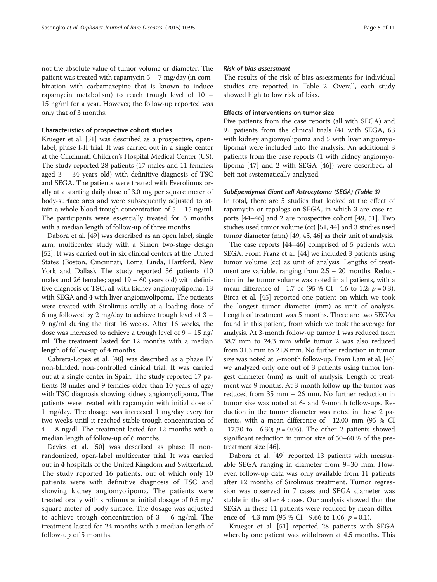not the absolute value of tumor volume or diameter. The patient was treated with rapamycin  $5 - 7$  mg/day (in combination with carbamazepine that is known to induce rapamycin metabolism) to reach trough level of 10 – 15 ng/ml for a year. However, the follow-up reported was only that of 3 months.

# Characteristics of prospective cohort studies

Krueger et al. [\[51\]](#page-10-0) was described as a prospective, openlabel, phase I-II trial. It was carried out in a single center at the Cincinnati Children's Hospital Medical Center (US). The study reported 28 patients (17 males and 11 females; aged 3 – 34 years old) with definitive diagnosis of TSC and SEGA. The patients were treated with Everolimus orally at a starting daily dose of 3.0 mg per square meter of body-surface area and were subsequently adjusted to attain a whole-blood trough concentration of 5 – 15 ng/ml. The participants were essentially treated for 6 months with a median length of follow-up of three months.

Dabora et al. [[49](#page-10-0)] was described as an open label, single arm, multicenter study with a Simon two-stage design [[52](#page-10-0)]. It was carried out in six clinical centers at the United States (Boston, Cincinnati, Loma Linda, Hartford, New York and Dallas). The study reported 36 patients (10 males and 26 females; aged 19 – 60 years old) with definitive diagnosis of TSC, all with kidney angiomyolipoma, 13 with SEGA and 4 with liver angiomyolipoma. The patients were treated with Sirolimus orally at a loading dose of 6 mg followed by 2 mg/day to achieve trough level of 3 – 9 ng/ml during the first 16 weeks. After 16 weeks, the dose was increased to achieve a trough level of 9 – 15 ng/ ml. The treatment lasted for 12 months with a median length of follow-up of 4 months.

Cabrera-Lopez et al. [\[48](#page-10-0)] was described as a phase IV non-blinded, non-controlled clinical trial. It was carried out at a single center in Spain. The study reported 17 patients (8 males and 9 females older than 10 years of age) with TSC diagnosis showing kidney angiomyolipoma. The patients were treated with rapamycin with initial dose of 1 mg/day. The dosage was increased 1 mg/day every for two weeks until it reached stable trough concentration of 4 – 8 ng/dl. The treatment lasted for 12 months with a median length of follow-up of 6 months.

Davies et al. [[50](#page-10-0)] was described as phase II nonrandomized, open-label multicenter trial. It was carried out in 4 hospitals of the United Kingdom and Switzerland. The study reported 16 patients, out of which only 10 patients were with definitive diagnosis of TSC and showing kidney angiomyolipoma. The patients were treated orally with sirolimus at initial dosage of 0.5 mg/ square meter of body surface. The dosage was adjusted to achieve trough concentration of  $3 - 6$  ng/ml. The treatment lasted for 24 months with a median length of follow-up of 5 months.

# Risk of bias assessment

The results of the risk of bias assessments for individual studies are reported in Table [2.](#page-5-0) Overall, each study showed high to low risk of bias.

# Effects of interventions on tumor size

Five patients from the case reports (all with SEGA) and 91 patients from the clinical trials (41 with SEGA, 63 with kidney angiomyolipoma and 5 with liver angiomyolipoma) were included into the analysis. An additional 3 patients from the case reports (1 with kidney angiomyolipoma [\[47\]](#page-10-0) and 2 with SEGA [\[46](#page-9-0)]) were described, albeit not systematically analyzed.

#### SubEpendymal Giant cell Astrocytoma (SEGA) (Table [3](#page-6-0))

In total, there are 5 studies that looked at the effect of rapamycin or rapalogs on SEGA, in which 3 are case reports [[44](#page-9-0)–[46\]](#page-9-0) and 2 are prospective cohort [\[49, 51\]](#page-10-0). Two studies used tumor volume (cc) [[51](#page-10-0), [44\]](#page-9-0) and 3 studies used tumor diameter (mm) [\[49](#page-10-0), [45](#page-9-0), [46\]](#page-9-0) as their unit of analysis.

The case reports [\[44](#page-9-0)–[46](#page-9-0)] comprised of 5 patients with SEGA. From Franz et al. [[44](#page-9-0)] we included 3 patients using tumor volume (cc) as unit of analysis. Lengths of treatment are variable, ranging from 2.5 – 20 months. Reduction in the tumor volume was noted in all patients, with a mean difference of  $-1.7$  cc (95 % CI  $-4.6$  to 1.2;  $p = 0.3$ ). Birca et al. [[45\]](#page-9-0) reported one patient on which we took the longest tumor diameter (mm) as unit of analysis. Length of treatment was 5 months. There are two SEGAs found in this patient, from which we took the average for analysis. At 3-month follow-up tumor 1 was reduced from 38.7 mm to 24.3 mm while tumor 2 was also reduced from 31.3 mm to 21.8 mm. No further reduction in tumor size was noted at 5-month follow-up. From Lam et al. [[46](#page-9-0)] we analyzed only one out of 3 patients using tumor longest diameter (mm) as unit of analysis. Length of treatment was 9 months. At 3-month follow-up the tumor was reduced from 35 mm – 26 mm. No further reduction in tumor size was noted at 6- and 9-month follow-ups. Reduction in the tumor diameter was noted in these 2 patients, with a mean difference of −12.00 mm (95 % CI −17.70 to −6.30;  $p = 0.05$ ). The other 2 patients showed significant reduction in tumor size of 50–60 % of the pretreatment size [\[46\]](#page-9-0).

Dabora et al. [[49](#page-10-0)] reported 13 patients with measurable SEGA ranging in diameter from 9–30 mm. However, follow-up data was only available from 11 patients after 12 months of Sirolimus treatment. Tumor regression was observed in 7 cases and SEGA diameter was stable in the other 4 cases. Our analysis showed that the SEGA in these 11 patients were reduced by mean difference of  $-4.3$  mm (95 % CI  $-9.66$  to 1.06;  $p = 0.1$ ).

Krueger et al. [[51](#page-10-0)] reported 28 patients with SEGA whereby one patient was withdrawn at 4.5 months. This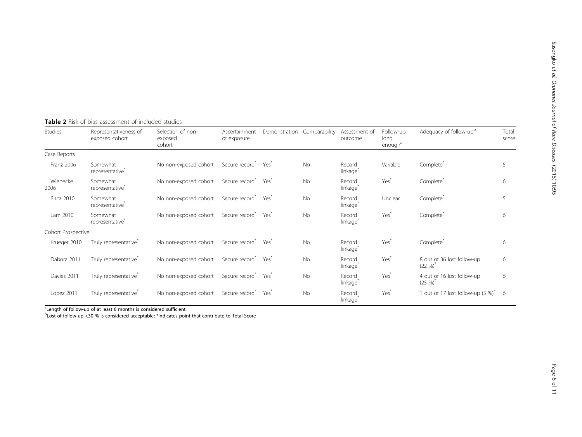| <b>Studies</b>     | Representativeness of<br>exposed cohort | Selection of non-<br>exposed<br>cohort | Ascertainment<br>of exposure                | Demonstration    | Comparability | Assessment of<br>outcome       | Follow-up<br>long<br>enough <sup>a</sup> | Adequacy of follow-up <sup>b</sup>               | Total<br>score |
|--------------------|-----------------------------------------|----------------------------------------|---------------------------------------------|------------------|---------------|--------------------------------|------------------------------------------|--------------------------------------------------|----------------|
| Case Reports       |                                         |                                        |                                             |                  |               |                                |                                          |                                                  |                |
| Franz 2006         | Somewhat<br>representative <sup>®</sup> | No non-exposed cohort                  | Secure record <sup>*</sup>                  | Yes'             | No            | Record<br>linkage <sup>®</sup> | Variable                                 | Complete <sup>®</sup>                            | 5              |
| Wienecke<br>2006   | Somewhat<br>representative*             | No non-exposed cohort                  | Secure record <sup>*</sup>                  | Yes <sup>®</sup> | No            | Record<br>linkage <sup>®</sup> | Yes <sup>*</sup>                         | Complete <sup>®</sup>                            | 6              |
| <b>Birca 2010</b>  | Somewhat<br>representative <sup>®</sup> | No non-exposed cohort                  | Secure record <sup>7</sup>                  | Yes              | No            | Record<br>linkage <sup>®</sup> | Unclear                                  | Complete <sup>®</sup>                            | 5              |
| Lam 2010           | Somewhat<br>representative <sup>®</sup> | No non-exposed cohort                  | Secure record <sup>*</sup>                  | Yes'             | <b>No</b>     | Record<br>linkage <sup>®</sup> | Yes <sup>*</sup>                         | Complete <sup>®</sup>                            | 6              |
| Cohort Prospective |                                         |                                        |                                             |                  |               |                                |                                          |                                                  |                |
| Krueger 2010       | Truly representative <sup>®</sup>       | No non-exposed cohort                  | Secure record                               | Yes              | No            | Record<br>linkage              | Yes <sup>*</sup>                         | Complete*                                        | 6              |
| Dabora 2011        | Truly representative <sup>*</sup>       | No non-exposed cohort                  | Secure record <sup>*</sup>                  | Yes"             | No            | Record<br>linkage <sup>®</sup> | Yes <sup>*</sup>                         | 8 out of 36 lost follow-up<br>$(22\%)^{\degree}$ | 6              |
| Davies 2011        | Truly representative <sup>®</sup>       | No non-exposed cohort                  | Secure record <sup>*</sup> Yes <sup>*</sup> |                  | <b>No</b>     | Record<br>linkage              | Yes <sup>*</sup>                         | 4 out of 16 lost follow-up<br>$(25\%)^{6}$       | 6              |
| Lopez 2011         | Truly representative <sup>®</sup>       | No non-exposed cohort                  | Secure record <sup>®</sup>                  | Yes <sup>*</sup> | No            | Record<br>linkage <sup>®</sup> | Yes <sup>*</sup>                         | 1 out of 17 lost follow-up $(5\%)^*$             | - 6            |

<span id="page-5-0"></span>Table 2 Risk of bias assessment of included studies

<sup>a</sup>Length of follow-up of at least 6 months is considered sufficient

<sup>b</sup>Lost of follow-up <30 % is considered acceptable; \*Indicates point that contribute to Total Score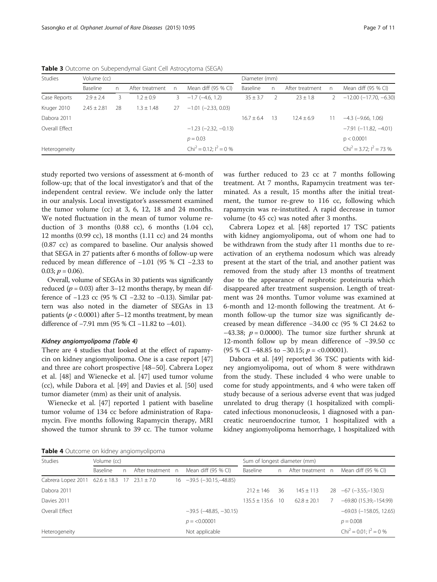| <b>Studies</b> | Volume (cc)     |    |                 |    |                                      | Diameter (mm)  |    |                 |   |                                       |
|----------------|-----------------|----|-----------------|----|--------------------------------------|----------------|----|-----------------|---|---------------------------------------|
|                | Baseline        | n. | After treatment | n. | Mean diff (95 % CI)                  | Baseline       | n. | After treatment | n | Mean diff (95 % CI)                   |
| Case Reports   | $2.9 \pm 2.4$   | 3  | $.2 \pm 0.9$    | 3  | $-1.7$ ( $-4.6$ , 1.2)               | $35 \pm 3.7$   |    | $23 \pm 1.8$    |   | $-12.00$ ( $-17.70$ , $-6.30$ )       |
| Kruger 2010    | $2.45 \pm 2.81$ | 28 | $.3 \pm 1.48$   | 27 | $-1.01$ ( $-2.33$ , 0.03)            |                |    |                 |   |                                       |
| Dabora 2011    |                 |    |                 |    |                                      | $16.7 \pm 6.4$ | 13 | $12.4 \pm 6.9$  |   | $-4.3$ ( $-9.66$ , 1.06)              |
| Overall Effect |                 |    |                 |    | $-1.23$ ( $-2.32$ , $-0.13$ )        |                |    |                 |   | $-7.91$ ( $-11.82$ , $-4.01$ )        |
|                |                 |    |                 |    | $p = 0.03$                           |                |    |                 |   | p < 0.0001                            |
| Heterogeneity  |                 |    |                 |    | Chi <sup>2</sup> = 0.12; $I^2$ = 0 % |                |    |                 |   | Chi <sup>2</sup> = 3.72; $I^2$ = 73 % |

<span id="page-6-0"></span>Table 3 Outcome on Subependymal Giant Cell Astrocytoma (SEGA)

study reported two versions of assessment at 6-month of follow-up; that of the local investigator's and that of the independent central review. We include only the latter in our analysis. Local investigator's assessment examined the tumor volume (cc) at 3, 6, 12, 18 and 24 months. We noted fluctuation in the mean of tumor volume reduction of 3 months (0.88 cc), 6 months (1.04 cc), 12 months (0.99 cc), 18 months (1.11 cc) and 24 months (0.87 cc) as compared to baseline. Our analysis showed that SEGA in 27 patients after 6 months of follow-up were reduced by mean difference of −1.01 (95 % CI −2.33 to 0.03;  $p = 0.06$ ).

Overall, volume of SEGAs in 30 patients was significantly reduced ( $p = 0.03$ ) after 3–12 months therapy, by mean difference of −1.23 cc (95 % CI −2.32 to −0.13). Similar pattern was also noted in the diameter of SEGAs in 13 patients ( $p < 0.0001$ ) after 5–12 months treatment, by mean difference of −7.91 mm (95 % CI −11.82 to −4.01).

# Kidney angiomyolipoma (Table 4)

There are 4 studies that looked at the effect of rapamycin on kidney angiomyolipoma. One is a case report [[47](#page-10-0)] and three are cohort prospective [[48](#page-10-0)–[50](#page-10-0)]. Cabrera Lopez et al. [\[48](#page-10-0)] and Wienecke et al. [[47](#page-10-0)] used tumor volume (cc), while Dabora et al. [[49\]](#page-10-0) and Davies et al. [\[50](#page-10-0)] used tumor diameter (mm) as their unit of analysis.

Wienecke et al. [[47\]](#page-10-0) reported 1 patient with baseline tumor volume of 134 cc before administration of Rapamycin. Five months following Rapamycin therapy, MRI showed the tumor shrunk to 39 cc. The tumor volume was further reduced to 23 cc at 7 months following treatment. At 7 months, Rapamycin treatment was terminated. As a result, 15 months after the initial treatment, the tumor re-grew to 116 cc, following which rapamycin was re-instutited. A rapid decrease in tumor volume (to 45 cc) was noted after 3 months.

Cabrera Lopez et al. [[48\]](#page-10-0) reported 17 TSC patients with kidney angiomyolipoma, out of whom one had to be withdrawn from the study after 11 months due to reactivation of an erythema nodosum which was already present at the start of the trial, and another patient was removed from the study after 13 months of treatment due to the appearance of nephrotic proteinuria which disappeared after treatment suspension. Length of treatment was 24 months. Tumor volume was examined at 6-month and 12-month following the treatment. At 6 month follow-up the tumor size was significantly decreased by mean difference −34.00 cc (95 % CI 24.62 to −43.38;  $p = 0.0000$ ). The tumor size further shrunk at 12-month follow up by mean difference of −39.50 cc (95 % CI  $-48.85$  to  $-30.15$ ;  $p = <0.00001$ ).

Dabora et al. [[49\]](#page-10-0) reported 36 TSC patients with kidney angiomyolipoma, out of whom 8 were withdrawn from the study. These included 4 who were unable to come for study appointments, and 4 who were taken off study because of a serious adverse event that was judged unrelated to drug therapy (1 hospitalized with complicated infectious mononucleosis, 1 diagnosed with a pancreatic neuroendocrine tumor, 1 hospitalized with a kidney angiomyolipoma hemorrhage, 1 hospitalized with

Table 4 Outcome on kidney angiomyolipoma

| <b>Studies</b>                                       | Volume (cc)     |   |  |  |                                       |                   | Sum of longest diameter (mm) |                   |  |                              |  |  |
|------------------------------------------------------|-----------------|---|--|--|---------------------------------------|-------------------|------------------------------|-------------------|--|------------------------------|--|--|
|                                                      | <b>Baseline</b> | n |  |  | After treatment n Mean diff (95 % CI) | Baseline          | n                            | After treatment n |  | Mean diff (95 % CI)          |  |  |
| Cabrera Lopez 2011 $62.6 \pm 18.3$ 17 $23.1 \pm 7.0$ |                 |   |  |  | $16 -39.5 (-30.15, -48.85)$           |                   |                              |                   |  |                              |  |  |
| Dabora 2011                                          |                 |   |  |  |                                       | $212 + 146$       | 36                           | $145 \pm 113$     |  | $28 -67 (-3.55 - 130.5)$     |  |  |
| Davies 2011                                          |                 |   |  |  |                                       | $135.5 \pm 135.6$ | - 10                         | $62.8 \pm 20.1$   |  | $-69.80(15.39,-154.99)$      |  |  |
| Overall Effect                                       |                 |   |  |  | $-39.5$ ( $-48.85, -30.15$ )          |                   |                              |                   |  | $-69.03$ $(-158.05, 12.65)$  |  |  |
|                                                      |                 |   |  |  | $p = 0.00001$                         |                   |                              |                   |  | $p = 0.008$                  |  |  |
| Heterogeneity                                        |                 |   |  |  | Not applicable                        |                   |                              |                   |  | $Chi^2 = 0.01$ : $I^2 = 0$ % |  |  |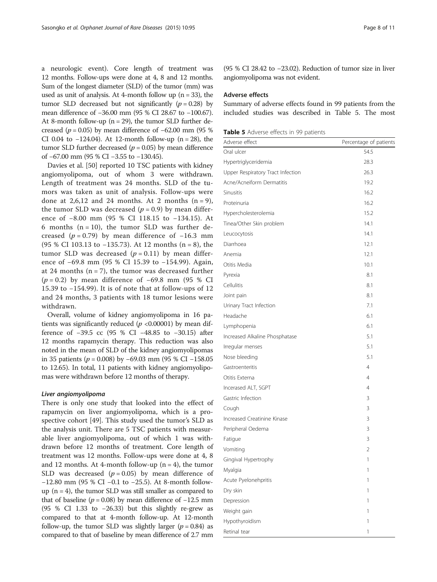<span id="page-7-0"></span>a neurologic event). Core length of treatment was 12 months. Follow-ups were done at 4, 8 and 12 months. Sum of the longest diameter (SLD) of the tumor (mm) was used as unit of analysis. At 4-month follow up ( $n = 33$ ), the tumor SLD decreased but not significantly  $(p = 0.28)$  by mean difference of −36.00 mm (95 % CI 28.67 to −100.67). At 8-month follow-up  $(n = 29)$ , the tumor SLD further decreased ( $p = 0.05$ ) by mean difference of  $-62.00$  mm (95 %) CI 0.04 to  $-124.04$ ). At 12-month follow-up (n = 28), the tumor SLD further decreased ( $p = 0.05$ ) by mean difference of −67.00 mm (95 % CI −3.55 to −130.45).

Davies et al. [[50\]](#page-10-0) reported 10 TSC patients with kidney angiomyolipoma, out of whom 3 were withdrawn. Length of treatment was 24 months. SLD of the tumors was taken as unit of analysis. Follow-ups were done at 2,6,12 and 24 months. At 2 months  $(n = 9)$ , the tumor SLD was decreased ( $p = 0.9$ ) by mean difference of −8.00 mm (95 % CI 118.15 to −134.15). At 6 months  $(n = 10)$ , the tumor SLD was further decreased ( $p = 0.79$ ) by mean difference of -16.3 mm (95 % CI 103.13 to −135.73). At 12 months (n = 8), the tumor SLD was decreased  $(p = 0.11)$  by mean difference of −69.8 mm (95 % CI 15.39 to −154.99). Again, at 24 months  $(n = 7)$ , the tumor was decreased further ( $p = 0.2$ ) by mean difference of −69.8 mm (95 % CI 15.39 to −154.99). It is of note that at follow-ups of 12 and 24 months, 3 patients with 18 tumor lesions were withdrawn.

Overall, volume of kidney angiomyolipoma in 16 patients was significantly reduced ( $p < 0.00001$ ) by mean difference of −39.5 cc (95 % CI −48.85 to −30.15) after 12 months rapamycin therapy. This reduction was also noted in the mean of SLD of the kidney angiomyolipomas in 35 patients ( $p = 0.008$ ) by −69.03 mm (95 % CI −158.05 to 12.65). In total, 11 patients with kidney angiomyolipomas were withdrawn before 12 months of therapy.

#### Liver angiomyolipoma

There is only one study that looked into the effect of rapamycin on liver angiomyolipoma, which is a prospective cohort [\[49](#page-10-0)]. This study used the tumor's SLD as the analysis unit. There are 5 TSC patients with measurable liver angiomyolipoma, out of which 1 was withdrawn before 12 months of treatment. Core length of treatment was 12 months. Follow-ups were done at 4, 8 and 12 months. At 4-month follow-up  $(n = 4)$ , the tumor SLD was decreased  $(p = 0.05)$  by mean difference of −12.80 mm (95 % CI −0.1 to −25.5). At 8-month followup  $(n = 4)$ , the tumor SLD was still smaller as compared to that of baseline ( $p = 0.08$ ) by mean difference of  $-12.5$  mm (95 % CI 1.33 to −26.33) but this slightly re-grew as compared to that at 4-month follow-up. At 12-month follow-up, the tumor SLD was slightly larger ( $p = 0.84$ ) as compared to that of baseline by mean difference of 2.7 mm

(95 % CI 28.42 to −23.02). Reduction of tumor size in liver angiomyolipoma was not evident.

# Adverse effects

Summary of adverse effects found in 99 patients from the included studies was described in Table 5. The most

| Table 5 Adverse effects in 99 patients |  |  |  |  |  |
|----------------------------------------|--|--|--|--|--|
|----------------------------------------|--|--|--|--|--|

| Adverse effect                    | Percentage of patients |
|-----------------------------------|------------------------|
| Oral ulcer                        | 54.5                   |
| Hypertriglyceridemia              | 28.3                   |
| Upper Respiratory Tract Infection | 26.3                   |
| Acne/Acneiform Dermatitis         | 19.2                   |
| Sinusitis                         | 16.2                   |
| Proteinuria                       | 16.2                   |
| Hypercholesterolemia              | 15.2                   |
| Tinea/Other Skin problem          | 14.1                   |
| Leucocytosis                      | 14.1                   |
| Diarrhoea                         | 12.1                   |
| Anemia                            | 12.1                   |
| Otitis Media                      | 10.1                   |
| Pyrexia                           | 8.1                    |
| Cellulitis                        | 8.1                    |
| Joint pain                        | 8.1                    |
| Urinary Tract Infection           | 7.1                    |
| Headache                          | 6.1                    |
| Lymphopenia                       | 6.1                    |
| Increased Alkaline Phosphatase    | 5.1                    |
| Irregular menses                  | 5.1                    |
| Nose bleeding                     | 5.1                    |
| Gastroenteritis                   | 4                      |
| Otitis Externa                    | 4                      |
| Incerased ALT, SGPT               | 4                      |
| Gastric Infection                 | 3                      |
| Cough                             | 3                      |
| Increased Creatinine Kinase       | 3                      |
| Peripheral Oedema                 | 3                      |
| Fatigue                           | 3                      |
| Vomiting                          | 2                      |
| Gingival Hypertrophy              | 1                      |
| Myalgia                           | 1                      |
| Acute Pyelonehpritis              | 1                      |
| Dry skin                          | 1                      |
| Depression                        | 1                      |
| Weight gain                       | 1                      |
| Hypothyroidism                    | 1                      |
| Retinal tear                      | 1                      |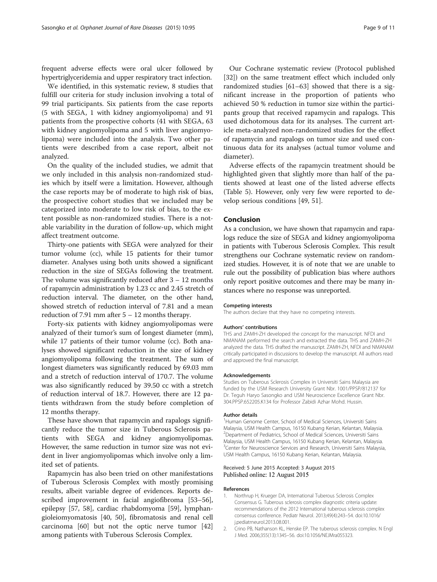<span id="page-8-0"></span>frequent adverse effects were oral ulcer followed by hypertriglyceridemia and upper respiratory tract infection.

We identified, in this systematic review, 8 studies that fulfill our criteria for study inclusion involving a total of 99 trial participants. Six patients from the case reports (5 with SEGA, 1 with kidney angiomyolipoma) and 91 patients from the prospective cohorts (41 with SEGA, 63 with kidney angiomyolipoma and 5 with liver angiomyolipoma) were included into the analysis. Two other patients were described from a case report, albeit not analyzed.

On the quality of the included studies, we admit that we only included in this analysis non-randomized studies which by itself were a limitation. However, although the case reports may be of moderate to high risk of bias, the prospective cohort studies that we included may be categorized into moderate to low risk of bias, to the extent possible as non-randomized studies. There is a notable variability in the duration of follow-up, which might affect treatment outcome.

Thirty-one patients with SEGA were analyzed for their tumor volume (cc), while 15 patients for their tumor diameter. Analyses using both units showed a significant reduction in the size of SEGAs following the treatment. The volume was significantly reduced after  $3 - 12$  months of rapamycin administration by 1.23 cc and 2.45 stretch of reduction interval. The diameter, on the other hand, showed stretch of reduction interval of 7.81 and a mean reduction of 7.91 mm after  $5 - 12$  months therapy.

Forty-six patients with kidney angiomyolipomas were analyzed of their tumor's sum of longest diameter (mm), while 17 patients of their tumor volume (cc). Both analyses showed significant reduction in the size of kidney angiomyolipoma following the treatment. The sum of longest diameters was significantly reduced by 69.03 mm and a stretch of reduction interval of 170.7. The volume was also significantly reduced by 39.50 cc with a stretch of reduction interval of 18.7. However, there are 12 patients withdrawn from the study before completion of 12 months therapy.

These have shown that rapamycin and rapalogs significantly reduce the tumor size in Tuberous Sclerosis patients with SEGA and kidney angiomyolipomas. However, the same reduction in tumor size was not evident in liver angiomyolipomas which involve only a limited set of patients.

Rapamycin has also been tried on other manifestations of Tuberous Sclerosis Complex with mostly promising results, albeit variable degree of evidences. Reports described improvement in facial angiofibroma [[53](#page-10-0)–[56](#page-10-0)], epilepsy [[57](#page-10-0), [58\]](#page-10-0), cardiac rhabdomyoma [\[59\]](#page-10-0), lymphangioleiomyomatosis [\[40](#page-9-0), [50\]](#page-10-0), fibromatosis and renal cell carcinoma [[60](#page-10-0)] but not the optic nerve tumor [[42](#page-9-0)] among patients with Tuberous Sclerosis Complex.

Our Cochrane systematic review (Protocol published [[32\]](#page-9-0)) on the same treatment effect which included only randomized studies [[61](#page-10-0)–[63](#page-10-0)] showed that there is a significant increase in the proportion of patients who achieved 50 % reduction in tumor size within the participants group that received rapamycin and rapalogs. This used dichotomous data for its analyses. The current article meta-analyzed non-randomized studies for the effect of rapamycin and rapalogs on tumor size and used continuous data for its analyses (actual tumor volume and diameter).

Adverse effects of the rapamycin treatment should be highlighted given that slightly more than half of the patients showed at least one of the listed adverse effects (Table [5\)](#page-7-0). However, only very few were reported to develop serious conditions [[49, 51\]](#page-10-0).

# Conclusion

As a conclusion, we have shown that rapamycin and rapalogs reduce the size of SEGA and kidney angiomyolipoma in patients with Tuberous Sclerosis Complex. This result strengthens our Cochrane systematic review on randomized studies. However, it is of note that we are unable to rule out the possibility of publication bias where authors only report positive outcomes and there may be many instances where no response was unreported.

#### Competing interests

The authors declare that they have no competing interests.

#### Authors' contributions

THS and ZAMH-ZH developed the concept for the manuscript. NFDI and NMANAM performed the search and extracted the data. THS and ZAMH-ZH analyzed the data. THS drafted the manuscript. ZAMH-ZH, NFDI and NMANAM critically participated in discussions to develop the manuscript. All authors read and approved the final manuscript.

#### Acknowledgements

Studies on Tuberous Sclerosis Complex in Universiti Sains Malaysia are funded by the USM Research University Grant Nbr. 1001/PPSP/812137 for Dr. Teguh Haryo Sasongko and USM Neuroscience Excellence Grant Nbr. 304.PPSP.652205.K134 for Professor Zabidi Azhar Mohd. Hussin.

#### Author details

<sup>1</sup>Human Genome Center, School of Medical Sciences, Universiti Sains Malaysia, USM Health Campus, 16150 Kubang Kerian, Kelantan, Malaysia. <sup>2</sup>Department of Pediatrics, School of Medical Sciences, Universiti Sains Malaysia, USM Health Campus, 16150 Kubang Kerian, Kelantan, Malaysia. <sup>3</sup> Center for Neuroscience Services and Research, Universiti Sains Malaysia USM Health Campus, 16150 Kubang Kerian, Kelantan, Malaysia.

#### Received: 5 June 2015 Accepted: 3 August 2015 Published online: 12 August 2015

#### References

- 1. Northrup H, Krueger DA, International Tuberous Sclerosis Complex Consensus G. Tuberous sclerosis complex diagnostic criteria update: recommendations of the 2012 International tuberous sclerosis complex consensus conference. Pediatr Neurol. 2013;49(4):243–54. doi:[10.1016/](http://dx.doi.org/10.1016/j.pediatrneurol.2013.08.001) [j.pediatrneurol.2013.08.001.](http://dx.doi.org/10.1016/j.pediatrneurol.2013.08.001)
- 2. Crino PB, Nathanson KL, Henske EP. The tuberous sclerosis complex. N Engl J Med. 2006;355(13):1345–56. doi:[10.1056/NEJMra055323](http://dx.doi.org/10.1056/NEJMra055323).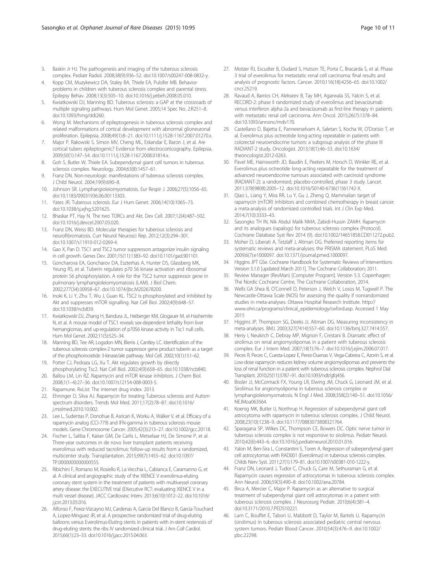- <span id="page-9-0"></span>3. Baskin Jr HJ. The pathogenesis and imaging of the tuberous sclerosis complex. Pediatr Radiol. 2008;38(9):936–52. doi[:10.1007/s00247-008-0832-y](http://dx.doi.org/10.1007/s00247-008-0832-y).
- 4. Kopp CM, Muzykewicz DA, Staley BA, Thiele EA, Pulsifer MB. Behavior problems in children with tuberous sclerosis complex and parental stress. Epilepsy Behav. 2008;13(3):505–10. doi:[10.1016/j.yebeh.2008.05.010](http://dx.doi.org/10.1016/j.yebeh.2008.05.010).
- 5. Kwiatkowski DJ, Manning BD. Tuberous sclerosis: a GAP at the crossroads of multiple signaling pathways. Hum Mol Genet. 2005;14 Spec No. 2:R251–8. doi[:10.1093/hmg/ddi260](http://dx.doi.org/10.1093/hmg/ddi260).
- 6. Wong M. Mechanisms of epileptogenesis in tuberous sclerosis complex and related malformations of cortical development with abnormal glioneuronal proliferation. Epilepsia. 2008;49(1):8–21. doi:[10.1111/j.1528-1167.2007.01270.x](http://dx.doi.org/10.1111/j.1528-1167.2007.01270.x).
- 7. Major P, Rakowski S, Simon MV, Cheng ML, Eskandar E, Baron J, et al. Are cortical tubers epileptogenic? Evidence from electrocorticography. Epilepsia. 2009;50(1):147–54. doi:[10.1111/j.1528-1167.2008.01814.x](http://dx.doi.org/10.1111/j.1528-1167.2008.01814.x).
- 8. Goh S, Butler W, Thiele EA. Subependymal giant cell tumors in tuberous sclerosis complex. Neurology. 2004;63(8):1457–61.
- 9. Franz DN. Non-neurologic manifestations of tuberous sclerosis complex. J Child Neurol. 2004;19(9):690–8.
- 10. Johnson SR. Lymphangioleiomyomatosis. Eur Respir J. 2006;27(5):1056–65. doi[:10.1183/09031936.06.00113303.](http://dx.doi.org/10.1183/09031936.06.00113303)
- 11. Yates JR. Tuberous sclerosis. Eur J Hum Genet. 2006;14(10):1065–73. doi[:10.1038/sj.ejhg.5201625.](http://dx.doi.org/10.1038/sj.ejhg.5201625)
- 12. Bhaskar PT, Hay N. The two TORCs and Akt. Dev Cell. 2007;12(4):487–502. doi[:10.1016/j.devcel.2007.03.020.](http://dx.doi.org/10.1016/j.devcel.2007.03.020)
- 13. Franz DN, Weiss BD. Molecular therapies for tuberous sclerosis and neurofibromatosis. Curr Neurol Neurosci Rep. 2012;12(3):294–301. doi[:10.1007/s11910-012-0269-4](http://dx.doi.org/10.1007/s11910-012-0269-4).
- 14. Gao X, Pan D. TSC1 and TSC2 tumor suppressors antagonize insulin signaling in cell growth. Genes Dev. 2001;15(11):1383–92. doi:[10.1101/gad.901101.](http://dx.doi.org/10.1101/gad.901101)
- 15. Goncharova EA, Goncharov DA, Eszterhas A, Hunter DS, Glassberg MK, Yeung RS, et al. Tuberin regulates p70 S6 kinase activation and ribosomal protein S6 phosphorylation. A role for the TSC2 tumor suppressor gene in pulmonary lymphangioleiomyomatosis (LAM). J Biol Chem. 2002;277(34):30958–67. doi:[10.1074/jbc.M202678200.](http://dx.doi.org/10.1074/jbc.M202678200)
- 16. Inoki K, Li Y, Zhu T, Wu J, Guan KL. TSC2 is phosphorylated and inhibited by Akt and suppresses mTOR signalling. Nat Cell Biol. 2002;4(9):648–57. doi[:10.1038/ncb839](http://dx.doi.org/10.1038/ncb839).
- 17. Kwiatkowski DJ, Zhang H, Bandura JL, Heiberger KM, Glogauer M, el-Hashemite N, et al. A mouse model of TSC1 reveals sex-dependent lethality from liver hemangiomas, and up-regulation of p70S6 kinase activity in Tsc1 null cells. Hum Mol Genet. 2002;11(5):525–34.
- 18. Manning BD, Tee AR, Logsdon MN, Blenis J, Cantley LC. Identification of the tuberous sclerosis complex-2 tumor suppressor gene product tuberin as a target of the phosphoinositide 3-kinase/akt pathway. Mol Cell. 2002;10(1):151–62.
- 19. Potter CJ, Pedraza LG, Xu T. Akt regulates growth by directly phosphorylating Tsc2. Nat Cell Biol. 2002;4(9):658–65. doi[:10.1038/ncb840](http://dx.doi.org/10.1038/ncb840).
- 20. Ballou LM, Lin RZ. Rapamycin and mTOR kinase inhibitors. J Chem Biol. 2008;1(1–4):27–36. doi[:10.1007/s12154-008-0003-5](http://dx.doi.org/10.1007/s12154-008-0003-5).
- 21. Rapamune. RxList: The internet drug index. 2013.
- 22. Ehninger D, Silva AJ. Rapamycin for treating Tuberous sclerosis and Autism spectrum disorders. Trends Mol Med. 2011;17(2):78–87. doi:[10.1016/](http://dx.doi.org/10.1016/j.molmed.2010.10.002) [j.molmed.2010.10.002.](http://dx.doi.org/10.1016/j.molmed.2010.10.002)
- 23. Lee L, Sudentas P, Donohue B, Asrican K, Worku A, Walker V, et al. Efficacy of a rapamycin analog (CCI-779) and IFN-gamma in tuberous sclerosis mouse models. Gene Chromosome Cancer. 2005;42(3):213–27. doi:[10.1002/gcc.20118](http://dx.doi.org/10.1002/gcc.20118).
- 24. Fischer L, Saliba F, Kaiser GM, De Carlis L, Metselaar HJ, De Simone P, et al. Three-year outcomes in de novo liver transplant patients receiving everolimus with reduced tacrolimus: follow-up results from a randomized, multicenter study. Transplantation. 2015;99(7):1455–62. doi:[10.1097/](http://dx.doi.org/10.1097/TP.0000000000000555) [TP.0000000000000555](http://dx.doi.org/10.1097/TP.0000000000000555).
- 25. Ribichini F, Romano M, Rosiello R, La Vecchia L, Cabianca E, Caramanno G, et al. A clinical and angiographic study of the XIENCE V everolimus-eluting coronary stent system in the treatment of patients with multivessel coronary artery disease: the EXECUTIVE trial (EXecutive RCT: evaluating XIENCE V in a multi vessel disease). JACC Cardiovasc Interv. 2013;6(10):1012–22. doi[:10.1016/](http://dx.doi.org/10.1016/j.jcin.2013.05.016) [j.jcin.2013.05.016.](http://dx.doi.org/10.1016/j.jcin.2013.05.016)
- 26. Alfonso F, Perez-Vizcayno MJ, Cardenas A, Garcia Del Blanco B, Garcia-Touchard A, Lopez-Minguez JR, et al. A prospective randomized trial of drug-eluting balloons versus Everolimus-Eluting stents in patients with in-stent restenosis of drug-eluting stents: the ribs IV randomized clinical trial. J Am Coll Cardiol. 2015;66(1):23–33. doi[:10.1016/j.jacc.2015.04.063](http://dx.doi.org/10.1016/j.jacc.2015.04.063).
- 27. Motzer RJ, Escudier B, Oudard S, Hutson TE, Porta C, Bracarda S, et al. Phase 3 trial of everolimus for metastatic renal cell carcinoma: final results and analysis of prognostic factors. Cancer. 2010;116(18):4256–65. doi[:10.1002/](http://dx.doi.org/10.1002/cncr.25219) [cncr.25219](http://dx.doi.org/10.1002/cncr.25219).
- 28. Ravaud A, Barrios CH, Alekseev B, Tay MH, Agarwala SS, Yalcin S, et al. RECORD-2: phase II randomized study of everolimus and bevacizumab versus interferon alpha-2a and bevacizumab as first-line therapy in patients with metastatic renal cell carcinoma. Ann Oncol. 2015;26(7):1378–84. doi[:10.1093/annonc/mdv170](http://dx.doi.org/10.1093/annonc/mdv170).
- 29. Castellano D, Bajetta E, Panneerselvam A, Saletan S, Kocha W, O'Dorisio T, et al. Everolimus plus octreotide long-acting repeatable in patients with colorectal neuroendocrine tumors: a subgroup analysis of the phase III RADIANT-2 study. Oncologist. 2013;18(1):46–53. doi:[10.1634/](http://dx.doi.org/10.1634/theoncologist.2012-0263) [theoncologist.2012-0263](http://dx.doi.org/10.1634/theoncologist.2012-0263).
- 30. Pavel ME, Hainsworth JD, Baudin E, Peeters M, Horsch D, Winkler RE, et al. Everolimus plus octreotide long-acting repeatable for the treatment of advanced neuroendocrine tumours associated with carcinoid syndrome (RADIANT-2): a randomised, placebo-controlled, phase 3 study. Lancet. 2011;378(9808):2005–12. doi[:10.1016/S0140-6736\(11\)61742-X](http://dx.doi.org/10.1016/S0140-6736(11)61742-X).
- 31. Qiao L, Liang Y, Mira RR, Lu Y, Gu J, Zheng Q. Mammalian target of rapamycin (mTOR) inhibitors and combined chemotherapy in breast cancer: a meta-analysis of randomized controlled trials. Int J Clin Exp Med. 2014;7(10):3333–43.
- 32. Sasongko TH IN, Nik Abdul Malik NMA, Zabidi-Hussin ZAMH. Rapamycin and its analogues (rapalogs) for tuberous sclerosis complex (Protocol). Cochrane Database Syst Rev 2014 (9). doi[:10.1002/14651858.CD011272.pub2](http://dx.doi.org/10.1002/14651858.CD011272.pub2).
- 33. Moher D, Liberati A, Tetzlaff J, Altman DG. Preferred reporting items for systematic reviews and meta-analyses: the PRISMA statement. PLoS Med. 2009;6(7):e1000097. doi[:10.1371/journal.pmed.1000097.](http://dx.doi.org/10.1371/journal.pmed.1000097)
- 34. Higgins JPT GSe. Cochrane Handbook for Systematic Reviews of Interventions Version 5.1.0 [updated March 2011]. The Cochrane Collaboration; 2011.
- 35. Review Manager (RevMan) [Computer Program]. Version 5.3. Copenhagen: The Nordic Cochrane Centre, The Cochrane Collaboration, 2014.
- 36. Wells GA Shea B, O'Connell D, Peterson J, Welch V, Losos M, Tugwell P. The Newcastle-Ottawa Scale (NOS) for assessing the quality if nonrandomized studies in meta-analyses. Ottawa Hospital Research Institute. [http://](http://www.ohri.ca/programs/clinical_epidemiology/oxford.asp) [www.ohri.ca/programs/clinical\\_epidemiology/oxford.asp.](http://www.ohri.ca/programs/clinical_epidemiology/oxford.asp) Accessed 1 May 2015
- 37. Higgins JP, Thompson SG, Deeks JJ, Altman DG. Measuring inconsistency in meta-analyses. BMJ. 2003;327(7414):557–60. doi:[10.1136/bmj.327.7414.557.](http://dx.doi.org/10.1136/bmj.327.7414.557)
- 38. Herry I, Neukirch C, Debray MP, Mignon F, Crestani B. Dramatic effect of sirolimus on renal angiomyolipomas in a patient with tuberous sclerosis complex. Eur J Intern Med. 2007;18(1):76–7. doi:[10.1016/j.ejim.2006.07.017.](http://dx.doi.org/10.1016/j.ejim.2006.07.017)
- 39. Peces R, Peces C, Cuesta-Lopez E, Perez-Duenas V, Vega-Cabrera C, Azorin S, et al. Low-dose rapamycin reduces kidney volume angiomyolipomas and prevents the loss of renal function in a patient with tuberous sclerosis complex. Nephrol Dial Transplant. 2010;25(11):3787–91. doi[:10.1093/ndt/gfq456](http://dx.doi.org/10.1093/ndt/gfq456).
- 40. Bissler JJ, McCormack FX, Young LR, Elwing JM, Chuck G, Leonard JM, et al. Sirolimus for angiomyolipoma in tuberous sclerosis complex or lymphangioleiomyomatosis. N Engl J Med. 2008;358(2):140–51. doi[:10.1056/](http://dx.doi.org/10.1056/NEJMoa063564) [NEJMoa063564.](http://dx.doi.org/10.1056/NEJMoa063564)
- 41. Koenig MK, Butler IJ, Northrup H. Regression of subependymal giant cell astrocytoma with rapamycin in tuberous sclerosis complex. J Child Neurol. 2008;23(10):1238–9. doi[:10.1177/0883073808321764](http://dx.doi.org/10.1177/0883073808321764).
- 42. Sparagana SP, Wilkes DC, Thompson CE, Bowers DC. Optic nerve tumor in tuberous sclerosis complex is not responsive to sirolimus. Pediatr Neurol. 2010;42(6):443–6. doi:[10.1016/j.pediatrneurol.2010.01.016.](http://dx.doi.org/10.1016/j.pediatrneurol.2010.01.016)
- 43. Yalon M, Ben-Sira L, Constantini S, Toren A. Regression of subependymal giant cell astrocytomas with RAD001 (Everolimus) in tuberous sclerosis complex. Childs Nerv Syst. 2011;27(1):179–81. doi:[10.1007/s00381-010-1222-y.](http://dx.doi.org/10.1007/s00381-010-1222-y)
- 44. Franz DN, Leonard J, Tudor C, Chuck G, Care M, Sethuraman G, et al. Rapamycin causes regression of astrocytomas in tuberous sclerosis complex. Ann Neurol. 2006;59(3):490–8. doi:[10.1002/ana.20784](http://dx.doi.org/10.1002/ana.20784).
- 45. Birca A, Mercier C, Major P. Rapamycin as an alternative to surgical treatment of subependymal giant cell astrocytomas in a patient with tuberous sclerosis complex. J Neurosurg Pediatr. 2010;6(4):381–4. doi[:10.3171/2010.7.PEDS10221](http://dx.doi.org/10.3171/2010.7.PEDS10221).
- 46. Lam C, Bouffet E, Tabori U, Mabbott D, Taylor M, Bartels U. Rapamycin (sirolimus) in tuberous sclerosis associated pediatric central nervous system tumors. Pediatr Blood Cancer. 2010;54(3):476–9. doi:[10.1002/](http://dx.doi.org/10.1002/pbc.22298) [pbc.22298.](http://dx.doi.org/10.1002/pbc.22298)